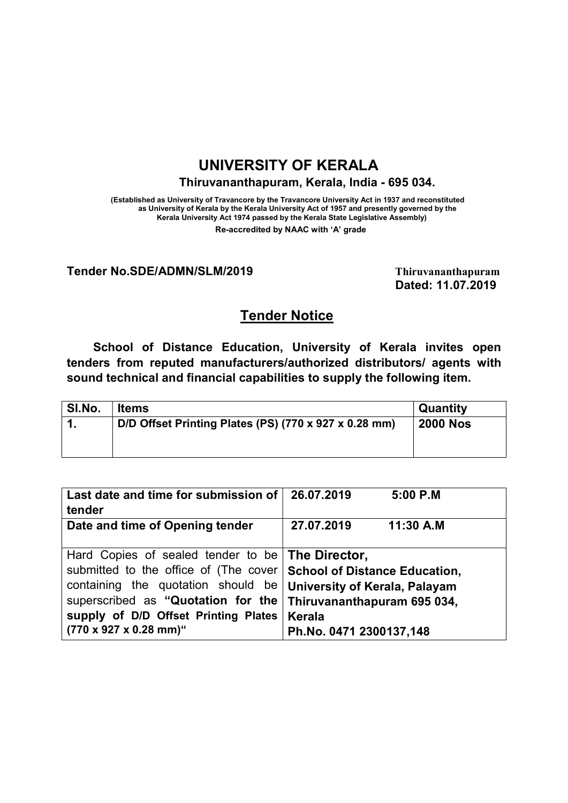# UNIVERSITY OF KERALA

Thiruvananthapuram, Kerala, India - 695 034.

(Established as University of Travancore by the Travancore University Act in 1937 and reconstituted as University of Kerala by the Kerala University Act of 1957 and presently governed by the Kerala University Act 1974 passed by the Kerala State Legislative Assembly) Re-accredited by NAAC with 'A' grade

#### Tender No.SDE/ADMN/SLM/2019 Thiruvananthapuram

Dated: 11.07.2019

## Tender Notice

School of Distance Education, University of Kerala invites open tenders from reputed manufacturers/authorized distributors/ agents with sound technical and financial capabilities to supply the following item.

| <b>SI.No.</b> | <b>Items</b>                                          | <b>Quantity</b> |
|---------------|-------------------------------------------------------|-----------------|
| -1            | D/D Offset Printing Plates (PS) (770 x 927 x 0.28 mm) | <b>2000 Nos</b> |
|               |                                                       |                 |

| Last date and time for submission of<br>tender                                                                                                                                                                                                                                  | 26.07.2019<br>5:00 P.M                                                                                          |
|---------------------------------------------------------------------------------------------------------------------------------------------------------------------------------------------------------------------------------------------------------------------------------|-----------------------------------------------------------------------------------------------------------------|
| Date and time of Opening tender                                                                                                                                                                                                                                                 | 27.07.2019<br>11:30 A.M                                                                                         |
| Hard Copies of sealed tender to be <b>The Director</b> ,<br>submitted to the office of (The cover   School of Distance Education,<br>containing the quotation should be<br>superscribed as "Quotation for the<br>supply of D/D Offset Printing Plates<br>(770 x 927 x 0.28 mm)" | <b>University of Kerala, Palayam</b><br>Thiruvananthapuram 695 034,<br><b>Kerala</b><br>Ph.No. 0471 2300137,148 |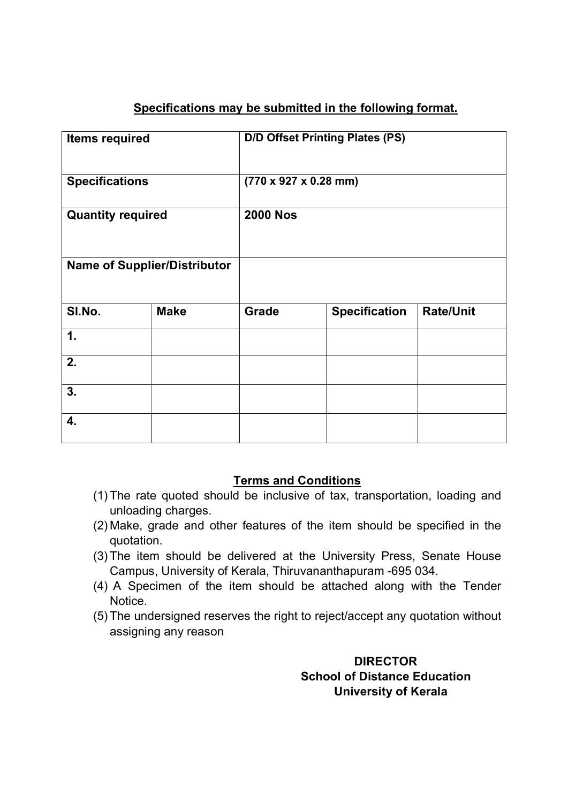# Specifications may be submitted in the following format.

| <b>Items required</b>               |             |                                           | <b>D/D Offset Printing Plates (PS)</b> |                  |
|-------------------------------------|-------------|-------------------------------------------|----------------------------------------|------------------|
| <b>Specifications</b>               |             | $(770 \times 927 \times 0.28 \text{ mm})$ |                                        |                  |
| <b>Quantity required</b>            |             | <b>2000 Nos</b>                           |                                        |                  |
| <b>Name of Supplier/Distributor</b> |             |                                           |                                        |                  |
| SI.No.                              | <b>Make</b> | Grade                                     | <b>Specification</b>                   | <b>Rate/Unit</b> |
| 1.                                  |             |                                           |                                        |                  |
| 2.                                  |             |                                           |                                        |                  |
| 3.                                  |             |                                           |                                        |                  |
| 4.                                  |             |                                           |                                        |                  |

### Terms and Conditions

- (1) The rate quoted should be inclusive of tax, transportation, loading and unloading charges.
- (2) Make, grade and other features of the item should be specified in the quotation.
- (3) The item should be delivered at the University Press, Senate House Campus, University of Kerala, Thiruvananthapuram -695 034.
- (4) A Specimen of the item should be attached along with the Tender **Notice**
- (5) The undersigned reserves the right to reject/accept any quotation without assigning any reason

### **DIRECTOR**  School of Distance Education University of Kerala